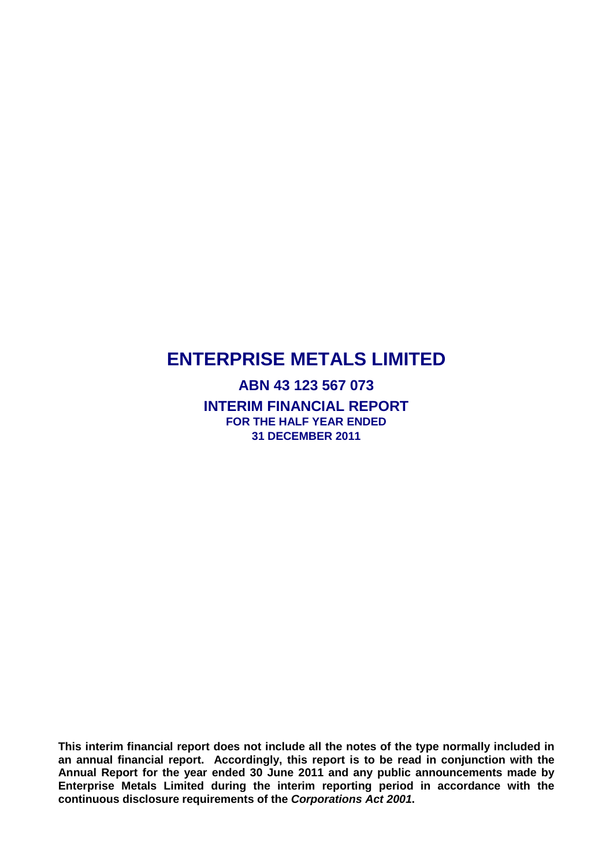**ABN 43 123 567 073 INTERIM FINANCIAL REPORT FOR THE HALF YEAR ENDED 31 DECEMBER 2011**

**This interim financial report does not include all the notes of the type normally included in an annual financial report. Accordingly, this report is to be read in conjunction with the Annual Report for the year ended 30 June 2011 and any public announcements made by Enterprise Metals Limited during the interim reporting period in accordance with the continuous disclosure requirements of the** *Corporations Act 2001***.**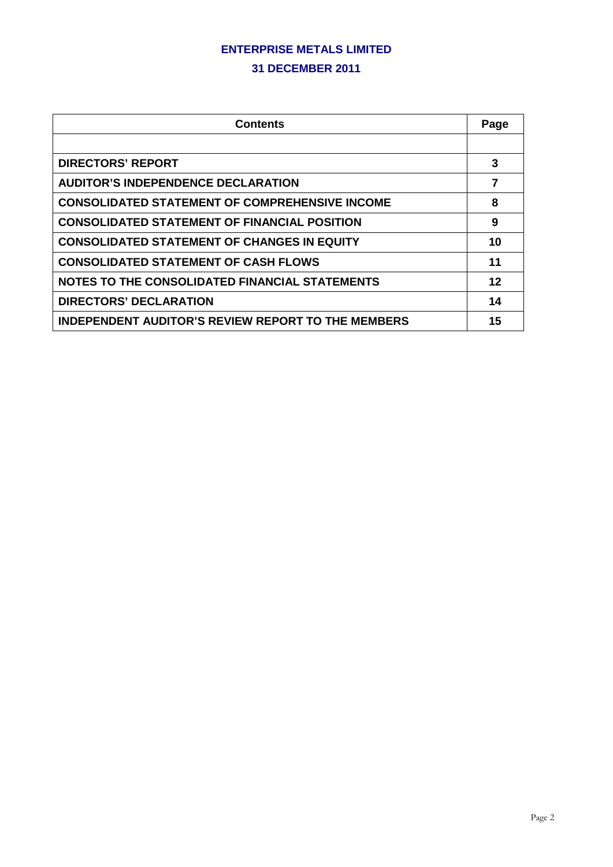#### **31 DECEMBER 2011**

| <b>Contents</b>                                           |    |
|-----------------------------------------------------------|----|
|                                                           |    |
| <b>DIRECTORS' REPORT</b>                                  | 3  |
| <b>AUDITOR'S INDEPENDENCE DECLARATION</b>                 | 7  |
| <b>CONSOLIDATED STATEMENT OF COMPREHENSIVE INCOME</b>     | 8  |
| <b>CONSOLIDATED STATEMENT OF FINANCIAL POSITION</b>       | 9  |
| <b>CONSOLIDATED STATEMENT OF CHANGES IN EQUITY</b>        | 10 |
| <b>CONSOLIDATED STATEMENT OF CASH FLOWS</b>               | 11 |
| NOTES TO THE CONSOLIDATED FINANCIAL STATEMENTS            | 12 |
| <b>DIRECTORS' DECLARATION</b>                             | 14 |
| <b>INDEPENDENT AUDITOR'S REVIEW REPORT TO THE MEMBERS</b> | 15 |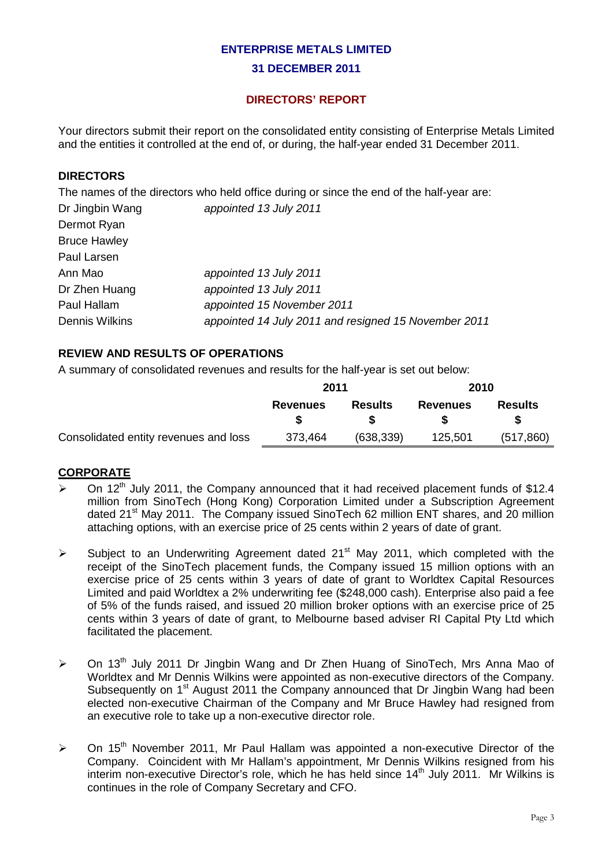#### **31 DECEMBER 2011**

## **DIRECTORS' REPORT**

Your directors submit their report on the consolidated entity consisting of Enterprise Metals Limited and the entities it controlled at the end of, or during, the half-year ended 31 December 2011.

## **DIRECTORS**

The names of the directors who held office during or since the end of the half-year are:

| Dr Jingbin Wang       | appointed 13 July 2011                               |
|-----------------------|------------------------------------------------------|
| Dermot Ryan           |                                                      |
| <b>Bruce Hawley</b>   |                                                      |
| Paul Larsen           |                                                      |
| Ann Mao               | appointed 13 July 2011                               |
| Dr Zhen Huang         | appointed 13 July 2011                               |
| Paul Hallam           | appointed 15 November 2011                           |
| <b>Dennis Wilkins</b> | appointed 14 July 2011 and resigned 15 November 2011 |

#### **REVIEW AND RESULTS OF OPERATIONS**

A summary of consolidated revenues and results for the half-year is set out below:

|                                       | 2011            |                | 2010            |            |
|---------------------------------------|-----------------|----------------|-----------------|------------|
|                                       | <b>Revenues</b> | <b>Results</b> | <b>Revenues</b> | Results    |
|                                       |                 |                |                 |            |
| Consolidated entity revenues and loss | 373,464         | (638, 339)     | 125,501         | (517, 860) |

## **CORPORATE**

- $\triangleright$  On 12<sup>th</sup> July 2011, the Company announced that it had received placement funds of \$12.4 million from SinoTech (Hong Kong) Corporation Limited under a Subscription Agreement dated 21<sup>st</sup> May 2011. The Company issued SinoTech 62 million ENT shares, and 20 million attaching options, with an exercise price of 25 cents within 2 years of date of grant.
- $\triangleright$  Subject to an Underwriting Agreement dated 21<sup>st</sup> May 2011, which completed with the receipt of the SinoTech placement funds, the Company issued 15 million options with an exercise price of 25 cents within 3 years of date of grant to Worldtex Capital Resources Limited and paid Worldtex a 2% underwriting fee (\$248,000 cash). Enterprise also paid a fee of 5% of the funds raised, and issued 20 million broker options with an exercise price of 25 cents within 3 years of date of grant, to Melbourne based adviser RI Capital Pty Ltd which facilitated the placement.
- $\geq$  On 13<sup>th</sup> July 2011 Dr Jingbin Wang and Dr Zhen Huang of SinoTech, Mrs Anna Mao of Worldtex and Mr Dennis Wilkins were appointed as non-executive directors of the Company. Subsequently on 1<sup>st</sup> August 2011 the Company announced that Dr Jingbin Wang had been elected non-executive Chairman of the Company and Mr Bruce Hawley had resigned from an executive role to take up a non-executive director role.
- $\geq$  On 15<sup>th</sup> November 2011, Mr Paul Hallam was appointed a non-executive Director of the Company. Coincident with Mr Hallam's appointment, Mr Dennis Wilkins resigned from his interim non-executive Director's role, which he has held since  $14<sup>th</sup>$  July 2011. Mr Wilkins is continues in the role of Company Secretary and CFO.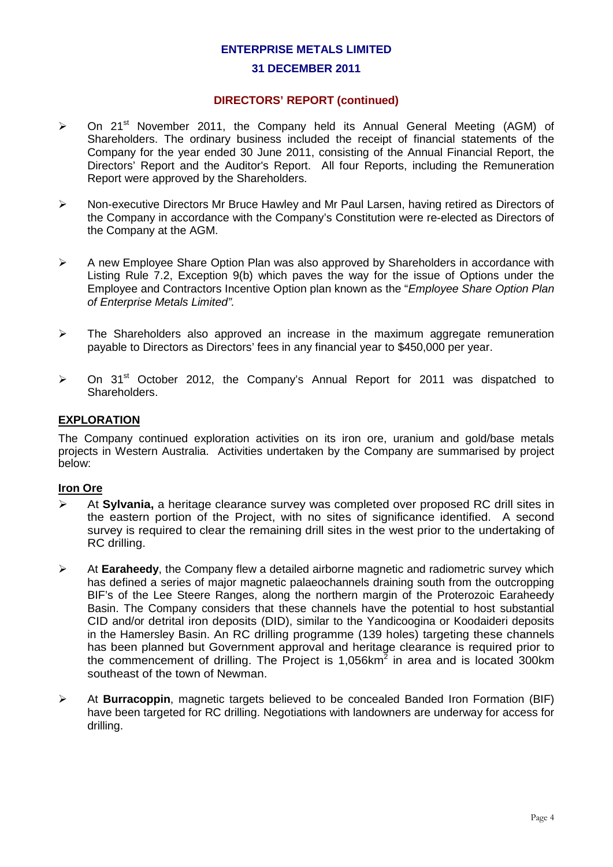#### **31 DECEMBER 2011**

#### **DIRECTORS' REPORT (continued)**

- $\triangleright$  On 21<sup>st</sup> November 2011, the Company held its Annual General Meeting (AGM) of Shareholders. The ordinary business included the receipt of financial statements of the Company for the year ended 30 June 2011, consisting of the Annual Financial Report, the Directors' Report and the Auditor's Report. All four Reports, including the Remuneration Report were approved by the Shareholders.
- $\triangleright$  Non-executive Directors Mr Bruce Hawley and Mr Paul Larsen, having retired as Directors of the Company in accordance with the Company's Constitution were re-elected as Directors of the Company at the AGM.
- $\triangleright$  A new Employee Share Option Plan was also approved by Shareholders in accordance with Listing Rule 7.2, Exception 9(b) which paves the way for the issue of Options under the Employee and Contractors Incentive Option plan known as the "*Employee Share Option Plan of Enterprise Metals Limited".*
- $\triangleright$  The Shareholders also approved an increase in the maximum aggregate remuneration payable to Directors as Directors' fees in any financial year to \$450,000 per year.
- $\triangleright$  On 31<sup>st</sup> October 2012, the Company's Annual Report for 2011 was dispatched to Shareholders.

#### **EXPLORATION**

The Company continued exploration activities on its iron ore, uranium and gold/base metals projects in Western Australia. Activities undertaken by the Company are summarised by project below:

#### **Iron Ore**

- At **Sylvania,** a heritage clearance survey was completed over proposed RC drill sites in the eastern portion of the Project, with no sites of significance identified. A second survey is required to clear the remaining drill sites in the west prior to the undertaking of RC drilling.
- At **Earaheedy**, the Company flew a detailed airborne magnetic and radiometric survey which has defined a series of major magnetic palaeochannels draining south from the outcropping BIF's of the Lee Steere Ranges, along the northern margin of the Proterozoic Earaheedy Basin. The Company considers that these channels have the potential to host substantial CID and/or detrital iron deposits (DID), similar to the Yandicoogina or Koodaideri deposits in the Hamersley Basin. An RC drilling programme (139 holes) targeting these channels has been planned but Government approval and heritage clearance is required prior to the commencement of drilling. The Project is  $1,056$  km<sup>2</sup> in area and is located 300 km southeast of the town of Newman.
- At **Burracoppin**, magnetic targets believed to be concealed Banded Iron Formation (BIF) have been targeted for RC drilling. Negotiations with landowners are underway for access for drilling.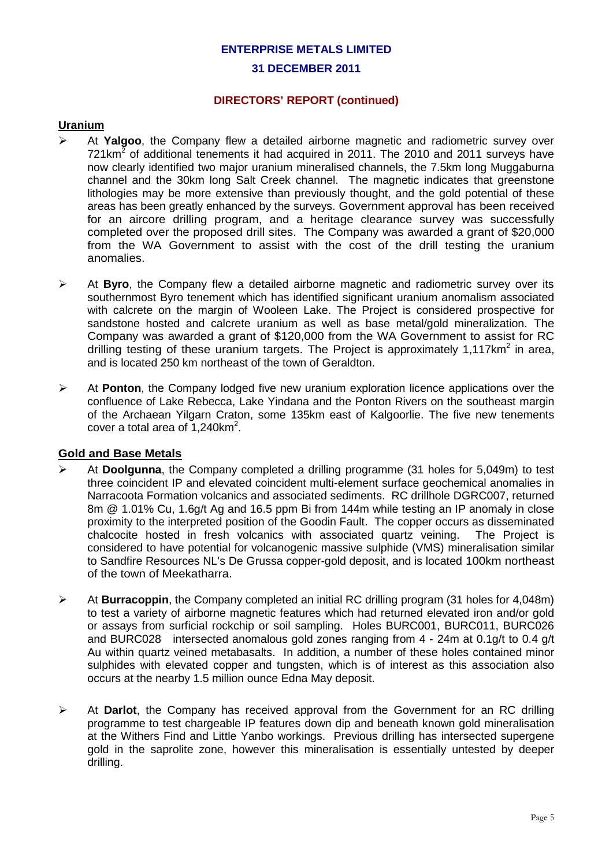#### **31 DECEMBER 2011**

#### **DIRECTORS' REPORT (continued)**

#### **Uranium**

- At **Yalgoo**, the Company flew a detailed airborne magnetic and radiometric survey over  $721 \text{km}^2$  of additional tenements it had acquired in 2011. The 2010 and 2011 surveys have now clearly identified two major uranium mineralised channels, the 7.5km long Muggaburna channel and the 30km long Salt Creek channel. The magnetic indicates that greenstone lithologies may be more extensive than previously thought, and the gold potential of these areas has been greatly enhanced by the surveys. Government approval has been received for an aircore drilling program, and a heritage clearance survey was successfully completed over the proposed drill sites. The Company was awarded a grant of \$20,000 from the WA Government to assist with the cost of the drill testing the uranium anomalies.
- At **Byro**, the Company flew a detailed airborne magnetic and radiometric survey over its southernmost Byro tenement which has identified significant uranium anomalism associated with calcrete on the margin of Wooleen Lake. The Project is considered prospective for sandstone hosted and calcrete uranium as well as base metal/gold mineralization. The Company was awarded a grant of \$120,000 from the WA Government to assist for RC drilling testing of these uranium targets. The Project is approximately  $1,117km^2$  in area, and is located 250 km northeast of the town of Geraldton.
- At **Ponton**, the Company lodged five new uranium exploration licence applications over the confluence of Lake Rebecca, Lake Yindana and the Ponton Rivers on the southeast margin of the Archaean Yilgarn Craton, some 135km east of Kalgoorlie. The five new tenements cover a total area of  $1,240$ km<sup>2</sup>.

#### **Gold and Base Metals**

- At **Doolgunna**, the Company completed a drilling programme (31 holes for 5,049m) to test three coincident IP and elevated coincident multi-element surface geochemical anomalies in Narracoota Formation volcanics and associated sediments. RC drillhole DGRC007, returned 8m @ 1.01% Cu, 1.6g/t Ag and 16.5 ppm Bi from 144m while testing an IP anomaly in close proximity to the interpreted position of the Goodin Fault. The copper occurs as disseminated chalcocite hosted in fresh volcanics with associated quartz veining. The Project is chalcocite hosted in fresh volcanics with associated quartz veining. considered to have potential for volcanogenic massive sulphide (VMS) mineralisation similar to Sandfire Resources NL's De Grussa copper-gold deposit, and is located 100km northeast of the town of Meekatharra.
- At **Burracoppin**, the Company completed an initial RC drilling program (31 holes for 4,048m) to test a variety of airborne magnetic features which had returned elevated iron and/or gold or assays from surficial rockchip or soil sampling. Holes BURC001, BURC011, BURC026 and BURC028 intersected anomalous gold zones ranging from 4 - 24m at 0.1g/t to 0.4 g/t Au within quartz veined metabasalts. In addition, a number of these holes contained minor sulphides with elevated copper and tungsten, which is of interest as this association also occurs at the nearby 1.5 million ounce Edna May deposit.
- At **Darlot**, the Company has received approval from the Government for an RC drilling programme to test chargeable IP features down dip and beneath known gold mineralisation at the Withers Find and Little Yanbo workings. Previous drilling has intersected supergene gold in the saprolite zone, however this mineralisation is essentially untested by deeper drilling.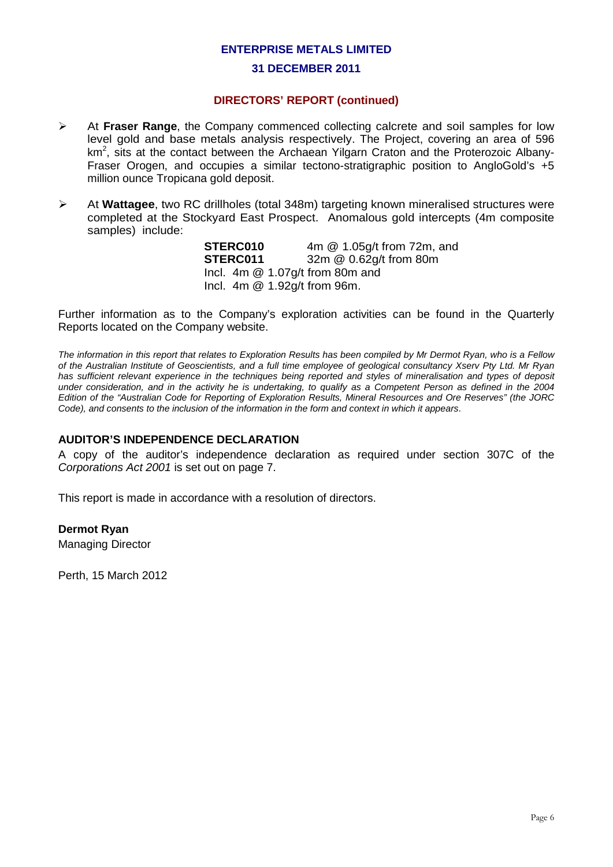#### **31 DECEMBER 2011**

## **DIRECTORS' REPORT (continued)**

- At **Fraser Range**, the Company commenced collecting calcrete and soil samples for low level gold and base metals analysis respectively. The Project, covering an area of 596 km<sup>2</sup>, sits at the contact between the Archaean Yilgarn Craton and the Proterozoic Albany-Fraser Orogen, and occupies a similar tectono-stratigraphic position to AngloGold's +5 million ounce Tropicana gold deposit.
- At **Wattagee**, two RC drillholes (total 348m) targeting known mineralised structures were completed at the Stockyard East Prospect. Anomalous gold intercepts (4m composite samples) include:

**STERC010** 4m @ 1.05g/t from 72m, and<br>**STERC011** 32m @ 0.62g/t from 80m **STERC011** 32m @ 0.62g/t from 80m Incl. 4m @ 1.07g/t from 80m and Incl. 4m @ 1.92g/t from 96m.

Further information as to the Company's exploration activities can be found in the Quarterly Reports located on the Company website.

*The information in this report that relates to Exploration Results has been compiled by Mr Dermot Ryan, who is a Fellow of the Australian Institute of Geoscientists, and a full time employee of geological consultancy Xserv Pty Ltd. Mr Ryan*  has sufficient relevant experience in the techniques being reported and styles of mineralisation and types of deposit *under consideration, and in the activity he is undertaking, to qualify as a Competent Person as defined in the 2004 Edition of the "Australian Code for Reporting of Exploration Results, Mineral Resources and Ore Reserves" (the JORC Code), and consents to the inclusion of the information in the form and context in which it appears*.

#### **AUDITOR'S INDEPENDENCE DECLARATION**

A copy of the auditor's independence declaration as required under section 307C of the *Corporations Act 2001* is set out on page 7.

This report is made in accordance with a resolution of directors.

#### **Dermot Ryan**

Managing Director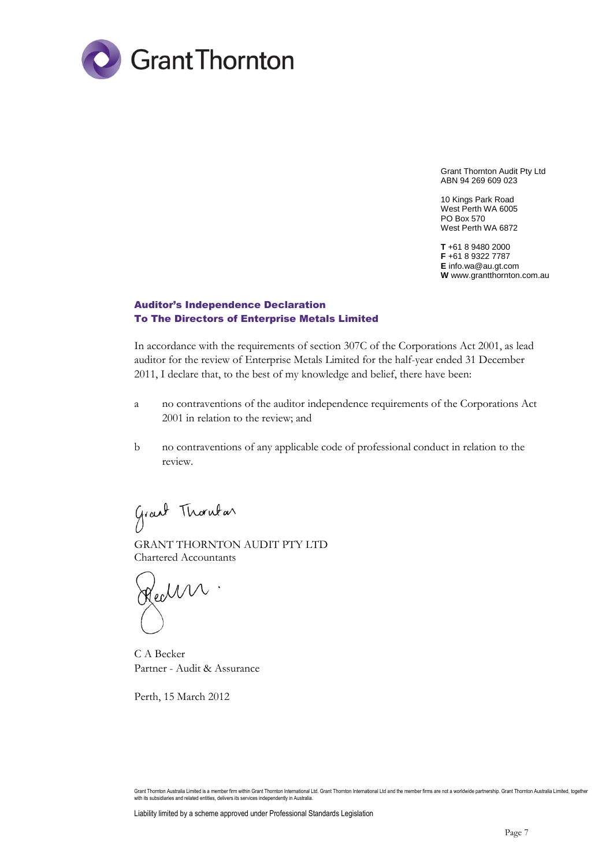

Grant Thornton Audit Pty Ltd ABN 94 269 609 023

10 Kings Park Road West Perth WA 6005 PO Box 570 West Perth WA 6872

**T** +61 8 9480 2000 **F** +61 8 9322 7787 **E** info.wa@au.gt.com **W** www.grantthornton.com.au

#### Auditor's Independence Declaration To The Directors of Enterprise Metals Limited

In accordance with the requirements of section 307C of the Corporations Act 2001, as lead auditor for the review of Enterprise Metals Limited for the half-year ended 31 December 2011, I declare that, to the best of my knowledge and belief, there have been:

- a no contraventions of the auditor independence requirements of the Corporations Act 2001 in relation to the review; and
- b no contraventions of any applicable code of professional conduct in relation to the review.

Grant Thombar

GRANT THORNTON AUDIT PTY LTD Chartered Accountants

Health.

C A Becker Partner - Audit & Assurance

Grant Thornton Australia Limited is a member firm within Grant Thornton International Ltd. Grant Thornton International Ltd and the member firms are not a worldwide partnership. Grant Thornton Australia Limited, together with its subsidiaries and related entities, delivers its services independently in Australia.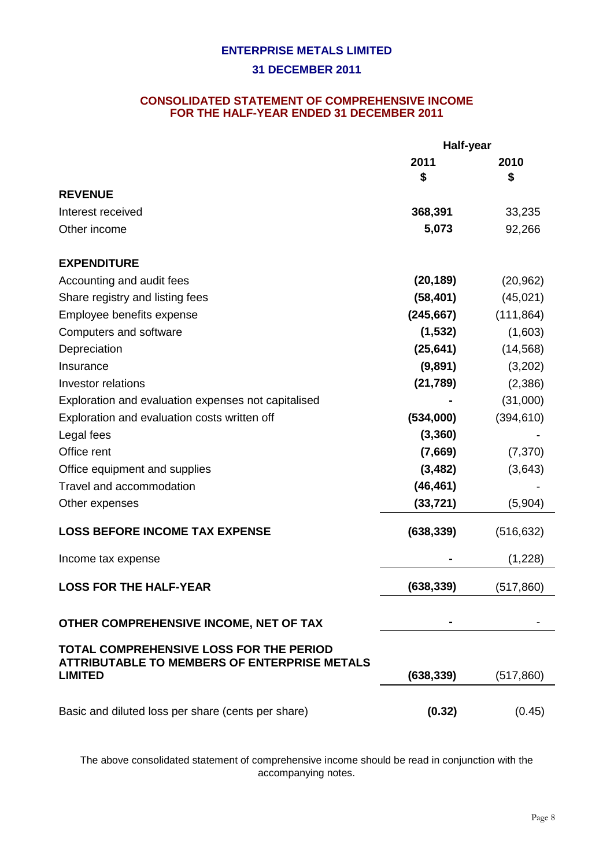## **CONSOLIDATED STATEMENT OF COMPREHENSIVE INCOME FOR THE HALF-YEAR ENDED 31 DECEMBER 2011**

|                                                                                                                         | Half-year  |            |  |
|-------------------------------------------------------------------------------------------------------------------------|------------|------------|--|
|                                                                                                                         | 2011       | 2010       |  |
|                                                                                                                         | \$         | \$         |  |
| <b>REVENUE</b>                                                                                                          |            |            |  |
| Interest received                                                                                                       | 368,391    | 33,235     |  |
| Other income                                                                                                            | 5,073      | 92,266     |  |
| <b>EXPENDITURE</b>                                                                                                      |            |            |  |
| Accounting and audit fees                                                                                               | (20, 189)  | (20, 962)  |  |
| Share registry and listing fees                                                                                         | (58, 401)  | (45,021)   |  |
| Employee benefits expense                                                                                               | (245, 667) | (111, 864) |  |
| Computers and software                                                                                                  | (1, 532)   | (1,603)    |  |
| Depreciation                                                                                                            | (25, 641)  | (14, 568)  |  |
| Insurance                                                                                                               | (9,891)    | (3,202)    |  |
| <b>Investor relations</b>                                                                                               | (21, 789)  | (2,386)    |  |
| Exploration and evaluation expenses not capitalised                                                                     |            | (31,000)   |  |
| Exploration and evaluation costs written off                                                                            | (534,000)  | (394, 610) |  |
| Legal fees                                                                                                              | (3,360)    |            |  |
| Office rent                                                                                                             | (7,669)    | (7, 370)   |  |
| Office equipment and supplies                                                                                           | (3, 482)   | (3,643)    |  |
| Travel and accommodation                                                                                                | (46, 461)  |            |  |
| Other expenses                                                                                                          | (33, 721)  | (5,904)    |  |
| <b>LOSS BEFORE INCOME TAX EXPENSE</b>                                                                                   | (638, 339) | (516, 632) |  |
| Income tax expense                                                                                                      |            | (1,228)    |  |
| <b>LOSS FOR THE HALF-YEAR</b>                                                                                           | (638, 339) | (517, 860) |  |
| OTHER COMPREHENSIVE INCOME, NET OF TAX                                                                                  |            |            |  |
| <b>TOTAL COMPREHENSIVE LOSS FOR THE PERIOD</b><br><b>ATTRIBUTABLE TO MEMBERS OF ENTERPRISE METALS</b><br><b>LIMITED</b> | (638, 339) | (517, 860) |  |
| Basic and diluted loss per share (cents per share)                                                                      | (0.32)     | (0.45)     |  |

The above consolidated statement of comprehensive income should be read in conjunction with the accompanying notes.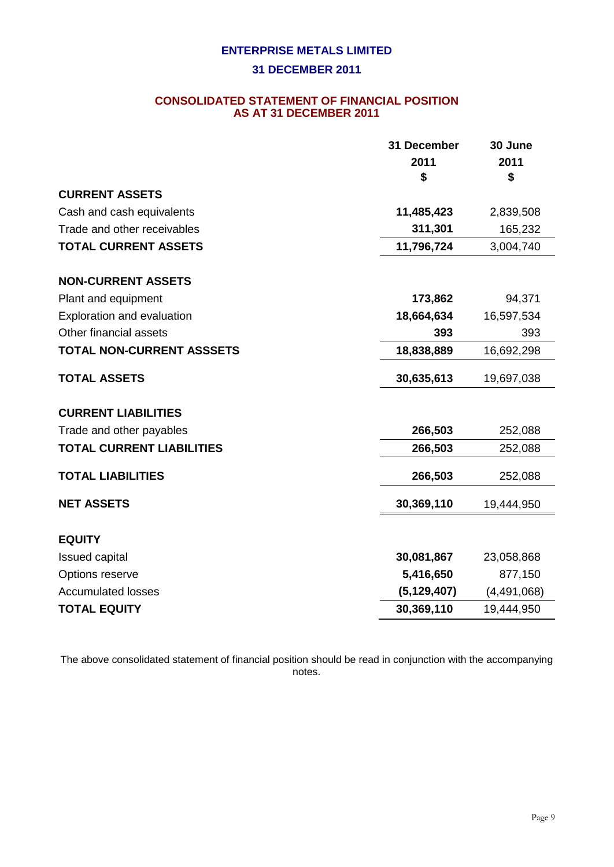## **31 DECEMBER 2011**

## **CONSOLIDATED STATEMENT OF FINANCIAL POSITION AS AT 31 DECEMBER 2011**

|                                  | 31 December   | 30 June       |
|----------------------------------|---------------|---------------|
|                                  | 2011          | 2011          |
|                                  | \$            | \$            |
| <b>CURRENT ASSETS</b>            |               |               |
| Cash and cash equivalents        | 11,485,423    | 2,839,508     |
| Trade and other receivables      | 311,301       | 165,232       |
| <b>TOTAL CURRENT ASSETS</b>      | 11,796,724    | 3,004,740     |
| <b>NON-CURRENT ASSETS</b>        |               |               |
| Plant and equipment              | 173,862       | 94,371        |
| Exploration and evaluation       | 18,664,634    | 16,597,534    |
| Other financial assets           | 393           | 393           |
| TOTAL NON-CURRENT ASSSETS        | 18,838,889    | 16,692,298    |
| <b>TOTAL ASSETS</b>              | 30,635,613    | 19,697,038    |
| <b>CURRENT LIABILITIES</b>       |               |               |
| Trade and other payables         | 266,503       | 252,088       |
| <b>TOTAL CURRENT LIABILITIES</b> | 266,503       | 252,088       |
| <b>TOTAL LIABILITIES</b>         | 266,503       | 252,088       |
| <b>NET ASSETS</b>                | 30,369,110    | 19,444,950    |
| <b>EQUITY</b>                    |               |               |
| Issued capital                   | 30,081,867    | 23,058,868    |
| Options reserve                  | 5,416,650     | 877,150       |
| <b>Accumulated losses</b>        | (5, 129, 407) | (4, 491, 068) |
| <b>TOTAL EQUITY</b>              | 30,369,110    | 19,444,950    |
|                                  |               |               |

The above consolidated statement of financial position should be read in conjunction with the accompanying notes.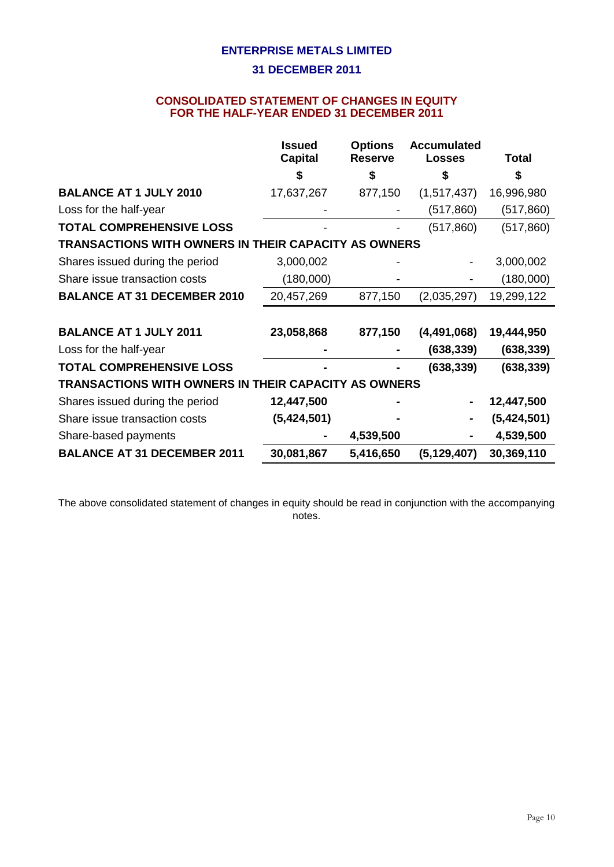## **CONSOLIDATED STATEMENT OF CHANGES IN EQUITY FOR THE HALF-YEAR ENDED 31 DECEMBER 2011**

|                                                      | <b>Issued</b><br><b>Capital</b> | <b>Options</b><br><b>Reserve</b> | <b>Accumulated</b><br><b>Losses</b> | <b>Total</b> |
|------------------------------------------------------|---------------------------------|----------------------------------|-------------------------------------|--------------|
|                                                      | \$                              | \$                               | \$                                  | \$           |
| <b>BALANCE AT 1 JULY 2010</b>                        | 17,637,267                      | 877,150                          | (1,517,437)                         | 16,996,980   |
| Loss for the half-year                               |                                 |                                  | (517, 860)                          | (517, 860)   |
| <b>TOTAL COMPREHENSIVE LOSS</b>                      |                                 |                                  | (517, 860)                          | (517, 860)   |
| TRANSACTIONS WITH OWNERS IN THEIR CAPACITY AS OWNERS |                                 |                                  |                                     |              |
| Shares issued during the period                      | 3,000,002                       |                                  |                                     | 3,000,002    |
| Share issue transaction costs                        | (180,000)                       |                                  |                                     | (180,000)    |
| <b>BALANCE AT 31 DECEMBER 2010</b>                   | 20,457,269                      | 877,150                          | (2,035,297)                         | 19,299,122   |
|                                                      |                                 |                                  |                                     |              |
| <b>BALANCE AT 1 JULY 2011</b>                        | 23,058,868                      | 877,150                          | (4,491,068)                         | 19,444,950   |
| Loss for the half-year                               |                                 |                                  | (638, 339)                          | (638, 339)   |
| <b>TOTAL COMPREHENSIVE LOSS</b>                      |                                 |                                  | (638, 339)                          | (638, 339)   |
| TRANSACTIONS WITH OWNERS IN THEIR CAPACITY AS OWNERS |                                 |                                  |                                     |              |
| Shares issued during the period                      | 12,447,500                      |                                  |                                     | 12,447,500   |
| Share issue transaction costs                        | (5,424,501)                     |                                  |                                     | (5,424,501)  |
| Share-based payments                                 |                                 | 4,539,500                        |                                     | 4,539,500    |
| <b>BALANCE AT 31 DECEMBER 2011</b>                   | 30,081,867                      | 5,416,650                        | (5, 129, 407)                       | 30,369,110   |

The above consolidated statement of changes in equity should be read in conjunction with the accompanying notes.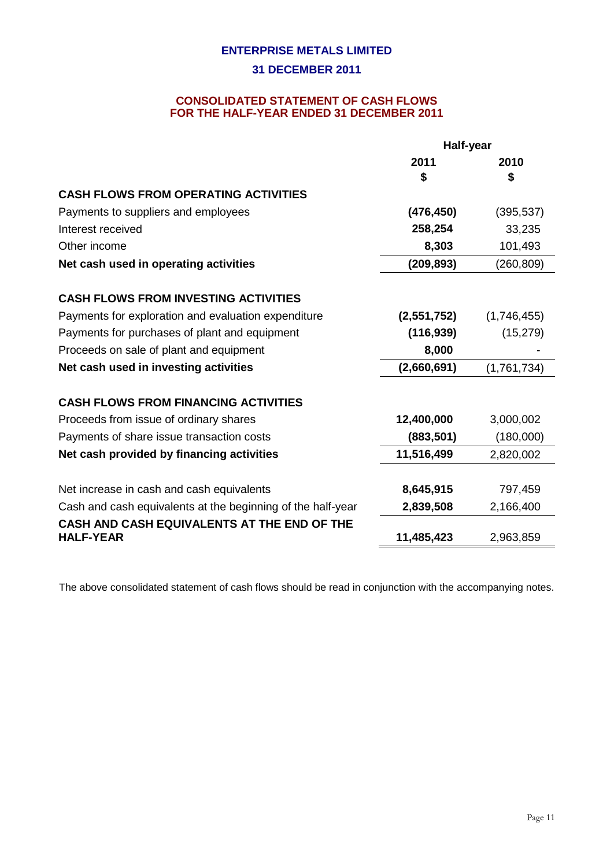## **CONSOLIDATED STATEMENT OF CASH FLOWS FOR THE HALF-YEAR ENDED 31 DECEMBER 2011**

|                                                                                                            | Half-year   |             |  |
|------------------------------------------------------------------------------------------------------------|-------------|-------------|--|
|                                                                                                            | 2011        | 2010        |  |
|                                                                                                            | S           | S           |  |
| <b>CASH FLOWS FROM OPERATING ACTIVITIES</b>                                                                |             |             |  |
| Payments to suppliers and employees                                                                        | (476, 450)  | (395, 537)  |  |
| Interest received                                                                                          | 258,254     | 33,235      |  |
| Other income                                                                                               | 8,303       | 101,493     |  |
| Net cash used in operating activities                                                                      | (209, 893)  | (260, 809)  |  |
| <b>CASH FLOWS FROM INVESTING ACTIVITIES</b>                                                                |             |             |  |
| Payments for exploration and evaluation expenditure                                                        | (2,551,752) | (1,746,455) |  |
| Payments for purchases of plant and equipment                                                              | (116, 939)  | (15, 279)   |  |
| Proceeds on sale of plant and equipment                                                                    | 8,000       |             |  |
| Net cash used in investing activities                                                                      | (2,660,691) | (1,761,734) |  |
| <b>CASH FLOWS FROM FINANCING ACTIVITIES</b>                                                                |             |             |  |
| Proceeds from issue of ordinary shares                                                                     | 12,400,000  | 3,000,002   |  |
| Payments of share issue transaction costs                                                                  | (883, 501)  | (180,000)   |  |
| Net cash provided by financing activities                                                                  | 11,516,499  | 2,820,002   |  |
| Net increase in cash and cash equivalents                                                                  | 8,645,915   | 797,459     |  |
|                                                                                                            |             |             |  |
| Cash and cash equivalents at the beginning of the half-year<br>CASH AND CASH EQUIVALENTS AT THE END OF THE | 2,839,508   | 2,166,400   |  |
| <b>HALF-YEAR</b>                                                                                           | 11,485,423  | 2,963,859   |  |

The above consolidated statement of cash flows should be read in conjunction with the accompanying notes.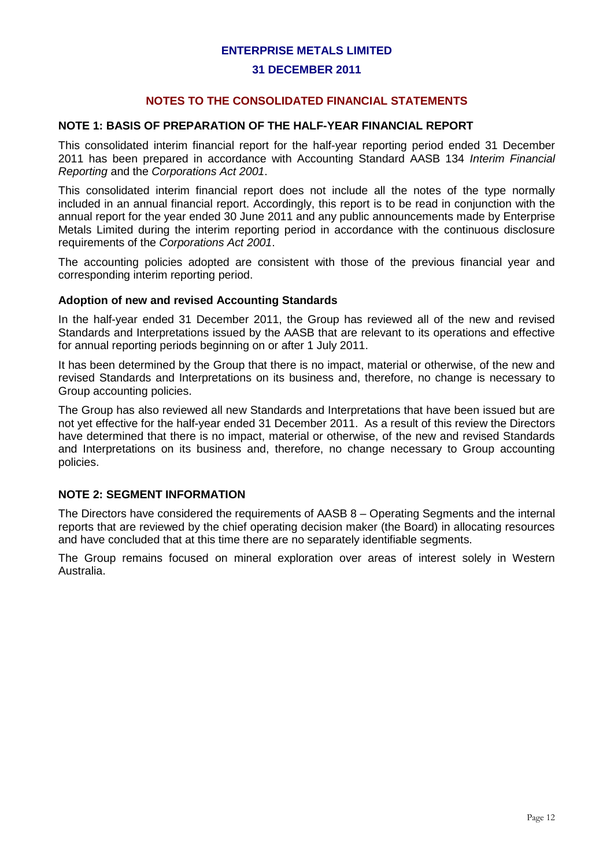#### **31 DECEMBER 2011**

## **NOTES TO THE CONSOLIDATED FINANCIAL STATEMENTS**

### **NOTE 1: BASIS OF PREPARATION OF THE HALF-YEAR FINANCIAL REPORT**

This consolidated interim financial report for the half-year reporting period ended 31 December 2011 has been prepared in accordance with Accounting Standard AASB 134 *Interim Financial Reporting* and the *Corporations Act 2001*.

This consolidated interim financial report does not include all the notes of the type normally included in an annual financial report. Accordingly, this report is to be read in conjunction with the annual report for the year ended 30 June 2011 and any public announcements made by Enterprise Metals Limited during the interim reporting period in accordance with the continuous disclosure requirements of the *Corporations Act 2001*.

The accounting policies adopted are consistent with those of the previous financial year and corresponding interim reporting period.

#### **Adoption of new and revised Accounting Standards**

In the half-year ended 31 December 2011, the Group has reviewed all of the new and revised Standards and Interpretations issued by the AASB that are relevant to its operations and effective for annual reporting periods beginning on or after 1 July 2011.

It has been determined by the Group that there is no impact, material or otherwise, of the new and revised Standards and Interpretations on its business and, therefore, no change is necessary to Group accounting policies.

The Group has also reviewed all new Standards and Interpretations that have been issued but are not yet effective for the half-year ended 31 December 2011. As a result of this review the Directors have determined that there is no impact, material or otherwise, of the new and revised Standards and Interpretations on its business and, therefore, no change necessary to Group accounting policies.

## **NOTE 2: SEGMENT INFORMATION**

The Directors have considered the requirements of AASB 8 – Operating Segments and the internal reports that are reviewed by the chief operating decision maker (the Board) in allocating resources and have concluded that at this time there are no separately identifiable segments.

The Group remains focused on mineral exploration over areas of interest solely in Western Australia.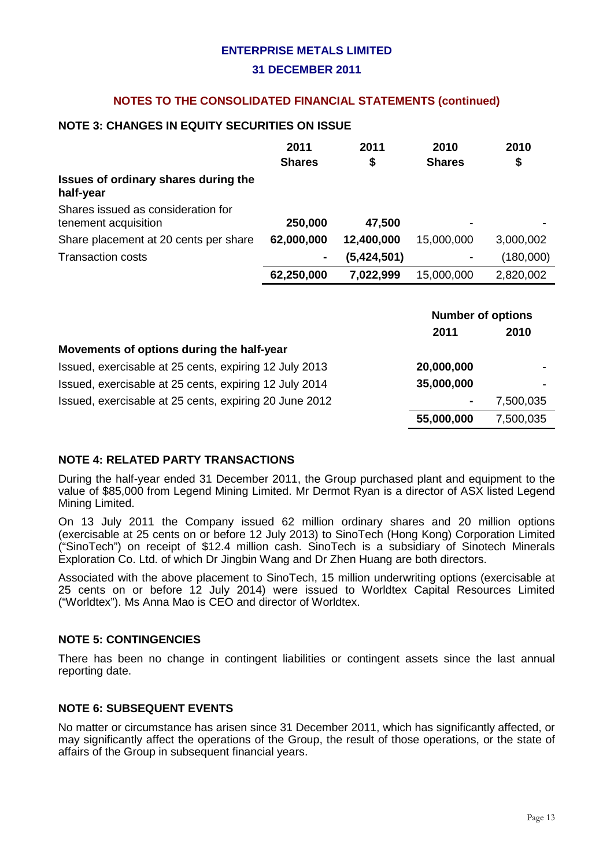## **NOTES TO THE CONSOLIDATED FINANCIAL STATEMENTS (continued)**

## **NOTE 3: CHANGES IN EQUITY SECURITIES ON ISSUE**

|                                                            | 2011<br><b>Shares</b> | 2011<br>\$  | 2010<br><b>Shares</b>    | 2010<br>\$ |
|------------------------------------------------------------|-----------------------|-------------|--------------------------|------------|
| Issues of ordinary shares during the<br>half-year          |                       |             |                          |            |
| Shares issued as consideration for<br>tenement acquisition | 250,000               | 47,500      |                          |            |
| Share placement at 20 cents per share                      | 62,000,000            | 12,400,000  | 15,000,000               | 3,000,002  |
| <b>Transaction costs</b>                                   |                       | (5,424,501) |                          | (180,000)  |
|                                                            | 62,250,000            | 7,022,999   | 15,000,000               | 2,820,002  |
|                                                            |                       |             | <b>Number of options</b> |            |

|                                                        | <b>INUITINGI UI UPITUITS</b> |           |
|--------------------------------------------------------|------------------------------|-----------|
|                                                        | 2011                         | 2010      |
| Movements of options during the half-year              |                              |           |
| Issued, exercisable at 25 cents, expiring 12 July 2013 | 20,000,000                   |           |
| Issued, exercisable at 25 cents, expiring 12 July 2014 | 35,000,000                   |           |
| Issued, exercisable at 25 cents, expiring 20 June 2012 | $\blacksquare$               | 7,500,035 |
|                                                        | 55,000,000                   | 7,500,035 |

## **NOTE 4: RELATED PARTY TRANSACTIONS**

During the half-year ended 31 December 2011, the Group purchased plant and equipment to the value of \$85,000 from Legend Mining Limited. Mr Dermot Ryan is a director of ASX listed Legend Mining Limited.

On 13 July 2011 the Company issued 62 million ordinary shares and 20 million options (exercisable at 25 cents on or before 12 July 2013) to SinoTech (Hong Kong) Corporation Limited ("SinoTech") on receipt of \$12.4 million cash. SinoTech is a subsidiary of Sinotech Minerals Exploration Co. Ltd. of which Dr Jingbin Wang and Dr Zhen Huang are both directors.

Associated with the above placement to SinoTech, 15 million underwriting options (exercisable at 25 cents on or before 12 July 2014) were issued to Worldtex Capital Resources Limited ("Worldtex"). Ms Anna Mao is CEO and director of Worldtex.

## **NOTE 5: CONTINGENCIES**

There has been no change in contingent liabilities or contingent assets since the last annual reporting date.

## **NOTE 6: SUBSEQUENT EVENTS**

No matter or circumstance has arisen since 31 December 2011, which has significantly affected, or may significantly affect the operations of the Group, the result of those operations, or the state of affairs of the Group in subsequent financial years.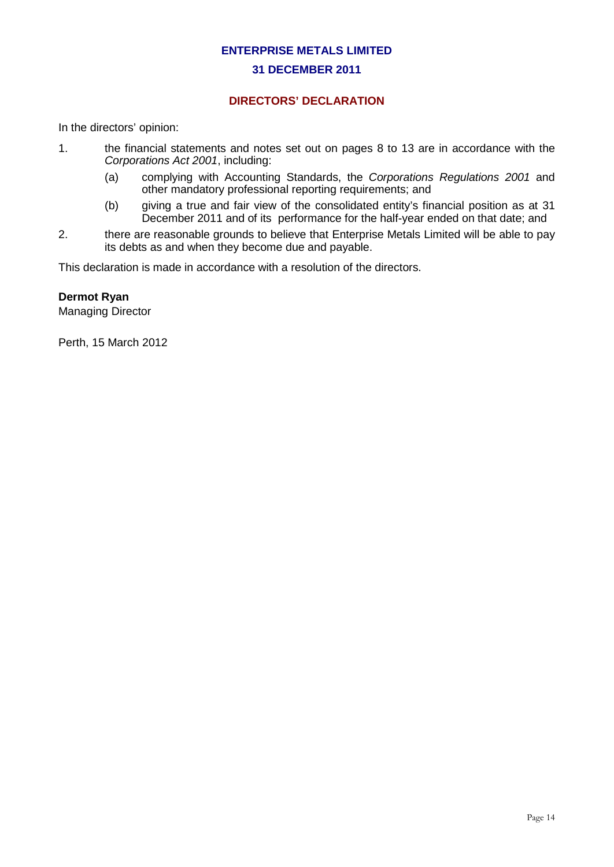## **DIRECTORS' DECLARATION**

In the directors' opinion:

- 1. the financial statements and notes set out on pages 8 to 13 are in accordance with the *Corporations Act 2001*, including:
	- (a) complying with Accounting Standards, the *Corporations Regulations 2001* and other mandatory professional reporting requirements; and
	- (b) giving a true and fair view of the consolidated entity's financial position as at 31 December 2011 and of its performance for the half-year ended on that date; and
- 2. there are reasonable grounds to believe that Enterprise Metals Limited will be able to pay its debts as and when they become due and payable.

This declaration is made in accordance with a resolution of the directors.

## **Dermot Ryan**

Managing Director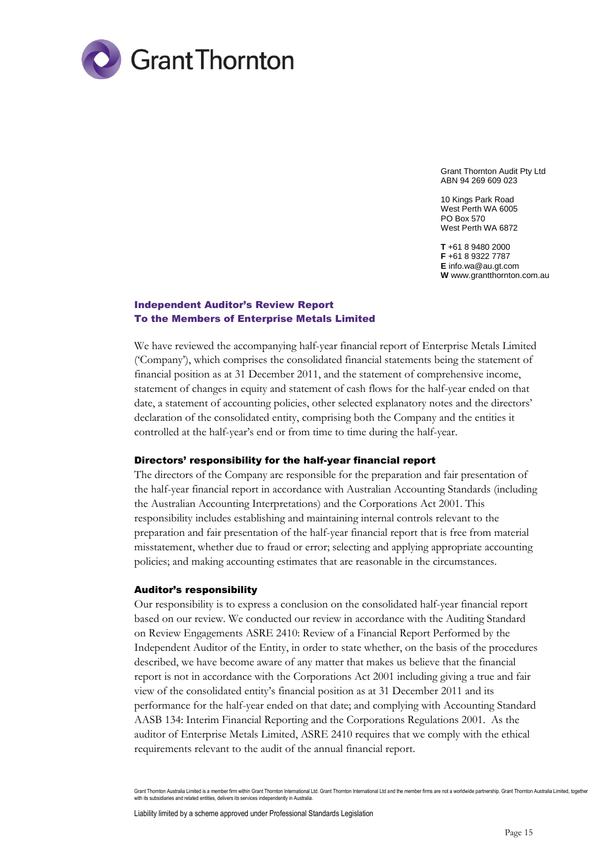

Grant Thornton Audit Pty Ltd ABN 94 269 609 023

10 Kings Park Road West Perth WA 6005 PO Box 570 West Perth WA 6872

**T** +61 8 9480 2000 **F** +61 8 9322 7787 **E** info.wa@au.gt.com **W** www.grantthornton.com.au

#### Independent Auditor's Review Report To the Members of Enterprise Metals Limited

We have reviewed the accompanying half-year financial report of Enterprise Metals Limited ('Company'), which comprises the consolidated financial statements being the statement of financial position as at 31 December 2011, and the statement of comprehensive income, statement of changes in equity and statement of cash flows for the half-year ended on that date, a statement of accounting policies, other selected explanatory notes and the directors' declaration of the consolidated entity, comprising both the Company and the entities it controlled at the half-year's end or from time to time during the half-year.

#### Directors' responsibility for the half-year financial report

The directors of the Company are responsible for the preparation and fair presentation of the half-year financial report in accordance with Australian Accounting Standards (including the Australian Accounting Interpretations) and the Corporations Act 2001. This responsibility includes establishing and maintaining internal controls relevant to the preparation and fair presentation of the half-year financial report that is free from material misstatement, whether due to fraud or error; selecting and applying appropriate accounting policies; and making accounting estimates that are reasonable in the circumstances.

#### Auditor's responsibility

Our responsibility is to express a conclusion on the consolidated half-year financial report based on our review. We conducted our review in accordance with the Auditing Standard on Review Engagements ASRE 2410: Review of a Financial Report Performed by the Independent Auditor of the Entity, in order to state whether, on the basis of the procedures described, we have become aware of any matter that makes us believe that the financial report is not in accordance with the Corporations Act 2001 including giving a true and fair view of the consolidated entity's financial position as at 31 December 2011 and its performance for the half-year ended on that date; and complying with Accounting Standard AASB 134: Interim Financial Reporting and the Corporations Regulations 2001. As the auditor of Enterprise Metals Limited, ASRE 2410 requires that we comply with the ethical requirements relevant to the audit of the annual financial report.

Grant Thornton Australia Limited is a member firm within Grant Thornton International Ltd. Grant Thornton Il the member firms are not a worldwide partnership. Grant Thornton Australia Limited, together with its subsidiaries and related entities, delivers its services independently in Australia

Liability limited by a scheme approved under Professional Standards Legislation